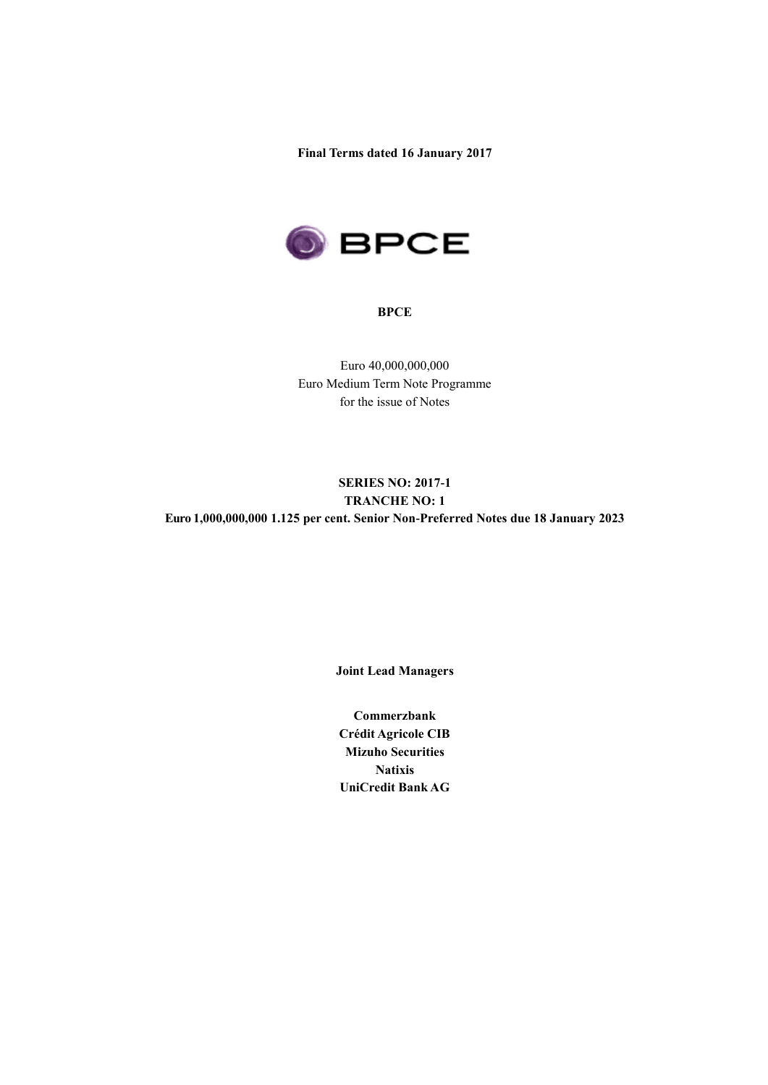**Final Terms dated 16 January 2017**



### **BPCE**

Euro 40,000,000,000 Euro Medium Term Note Programme for the issue of Notes

## **SERIES NO: 2017-1 TRANCHE NO: 1 Euro 1,000,000,000 1.125 per cent. Senior Non-Preferred Notes due 18 January 2023**

**Joint Lead Managers**

**Commerzbank Crédit Agricole CIB Mizuho Securities Natixis UniCredit Bank AG**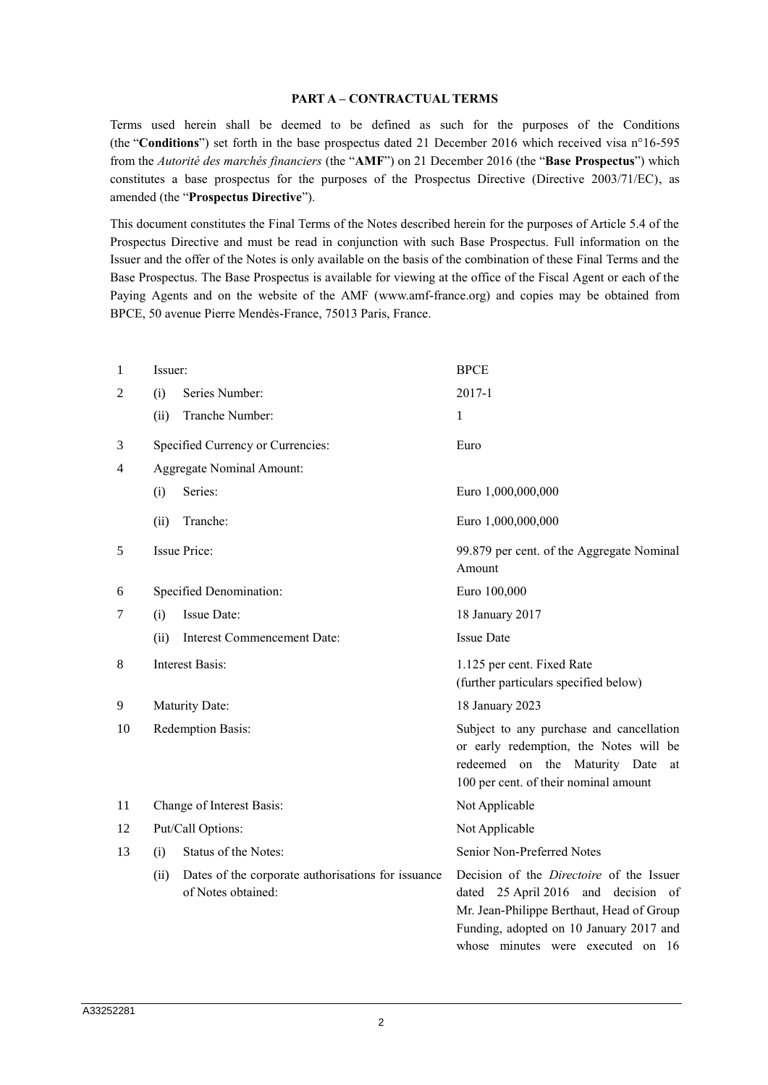### **PART A – CONTRACTUAL TERMS**

Terms used herein shall be deemed to be defined as such for the purposes of the Conditions (the "**Conditions**") set forth in the base prospectus dated 21 December 2016 which received visa n°16-595 from the *Autorité des marchés financiers* (the "**AMF**") on 21 December 2016 (the "**Base Prospectus**") which constitutes a base prospectus for the purposes of the Prospectus Directive (Directive 2003/71/EC), as amended (the "**Prospectus Directive**").

This document constitutes the Final Terms of the Notes described herein for the purposes of Article 5.4 of the Prospectus Directive and must be read in conjunction with such Base Prospectus. Full information on the Issuer and the offer of the Notes is only available on the basis of the combination of these Final Terms and the Base Prospectus. The Base Prospectus is available for viewing at the office of the Fiscal Agent or each of the Paying Agents and on the website of the AMF (www.amf-france.org) and copies may be obtained from BPCE, 50 avenue Pierre Mendès-France, 75013 Paris, France.

| 1  | Issuer: |                                                                          | <b>BPCE</b>                                                                                                                                                                                                         |  |
|----|---------|--------------------------------------------------------------------------|---------------------------------------------------------------------------------------------------------------------------------------------------------------------------------------------------------------------|--|
| 2  | (i)     | Series Number:                                                           | $2017-1$                                                                                                                                                                                                            |  |
|    | (ii)    | Tranche Number:                                                          | 1                                                                                                                                                                                                                   |  |
| 3  |         | Specified Currency or Currencies:                                        | Euro                                                                                                                                                                                                                |  |
| 4  |         | <b>Aggregate Nominal Amount:</b>                                         |                                                                                                                                                                                                                     |  |
|    | (i)     | Series:                                                                  | Euro 1,000,000,000                                                                                                                                                                                                  |  |
|    | (ii)    | Tranche:                                                                 | Euro 1,000,000,000                                                                                                                                                                                                  |  |
| 5  |         | Issue Price:                                                             | 99.879 per cent. of the Aggregate Nominal<br>Amount                                                                                                                                                                 |  |
| 6  |         | Specified Denomination:                                                  | Euro 100,000                                                                                                                                                                                                        |  |
| 7  | (i)     | Issue Date:                                                              | 18 January 2017                                                                                                                                                                                                     |  |
|    | (ii)    | <b>Interest Commencement Date:</b>                                       | <b>Issue Date</b>                                                                                                                                                                                                   |  |
| 8  |         | <b>Interest Basis:</b>                                                   | 1.125 per cent. Fixed Rate<br>(further particulars specified below)                                                                                                                                                 |  |
| 9  |         | Maturity Date:                                                           | 18 January 2023                                                                                                                                                                                                     |  |
| 10 |         | Redemption Basis:                                                        | Subject to any purchase and cancellation<br>or early redemption, the Notes will be<br>redeemed on the<br>Maturity Date<br>at<br>100 per cent. of their nominal amount                                               |  |
| 11 |         | Change of Interest Basis:                                                | Not Applicable                                                                                                                                                                                                      |  |
| 12 |         | Put/Call Options:                                                        | Not Applicable                                                                                                                                                                                                      |  |
| 13 | (i)     | Status of the Notes:                                                     | Senior Non-Preferred Notes                                                                                                                                                                                          |  |
|    | (ii)    | Dates of the corporate authorisations for issuance<br>of Notes obtained: | Decision of the <i>Directoire</i> of the Issuer<br>dated 25 April 2016 and decision of<br>Mr. Jean-Philippe Berthaut, Head of Group<br>Funding, adopted on 10 January 2017 and<br>whose minutes were executed on 16 |  |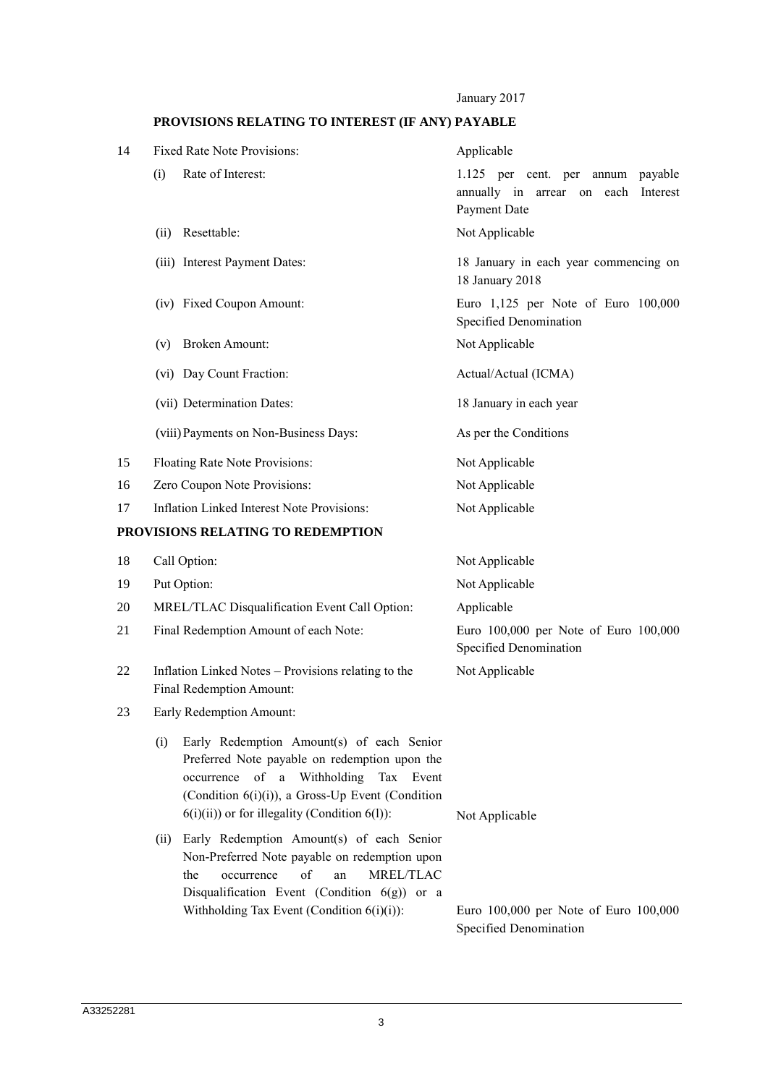January 2017

# **PROVISIONS RELATING TO INTEREST (IF ANY) PAYABLE**

| 14 | <b>Fixed Rate Note Provisions:</b>                                                                                                                                                                                                                     | Applicable                                                                                  |  |  |
|----|--------------------------------------------------------------------------------------------------------------------------------------------------------------------------------------------------------------------------------------------------------|---------------------------------------------------------------------------------------------|--|--|
|    | Rate of Interest:<br>(i)                                                                                                                                                                                                                               | 1.125 per cent. per annum payable<br>annually in arrear on each<br>Interest<br>Payment Date |  |  |
|    | Resettable:<br>(ii)                                                                                                                                                                                                                                    | Not Applicable                                                                              |  |  |
|    | (iii) Interest Payment Dates:                                                                                                                                                                                                                          | 18 January in each year commencing on<br>18 January 2018                                    |  |  |
|    | (iv) Fixed Coupon Amount:                                                                                                                                                                                                                              | Euro 1,125 per Note of Euro 100,000<br>Specified Denomination                               |  |  |
|    | <b>Broken Amount:</b><br>(v)                                                                                                                                                                                                                           | Not Applicable                                                                              |  |  |
|    | (vi) Day Count Fraction:                                                                                                                                                                                                                               | Actual/Actual (ICMA)                                                                        |  |  |
|    | (vii) Determination Dates:                                                                                                                                                                                                                             | 18 January in each year                                                                     |  |  |
|    | (viii) Payments on Non-Business Days:                                                                                                                                                                                                                  | As per the Conditions                                                                       |  |  |
| 15 | Floating Rate Note Provisions:                                                                                                                                                                                                                         | Not Applicable                                                                              |  |  |
| 16 | Zero Coupon Note Provisions:                                                                                                                                                                                                                           | Not Applicable                                                                              |  |  |
| 17 | <b>Inflation Linked Interest Note Provisions:</b>                                                                                                                                                                                                      | Not Applicable                                                                              |  |  |
|    | PROVISIONS RELATING TO REDEMPTION                                                                                                                                                                                                                      |                                                                                             |  |  |
| 18 | Call Option:                                                                                                                                                                                                                                           | Not Applicable                                                                              |  |  |
| 19 | Put Option:                                                                                                                                                                                                                                            | Not Applicable                                                                              |  |  |
| 20 | MREL/TLAC Disqualification Event Call Option:                                                                                                                                                                                                          | Applicable                                                                                  |  |  |
| 21 | Final Redemption Amount of each Note:                                                                                                                                                                                                                  | Euro 100,000 per Note of Euro 100,000<br>Specified Denomination                             |  |  |
| 22 | Inflation Linked Notes – Provisions relating to the<br>Final Redemption Amount:                                                                                                                                                                        | Not Applicable                                                                              |  |  |
| 23 | Early Redemption Amount:                                                                                                                                                                                                                               |                                                                                             |  |  |
|    | Early Redemption Amount(s) of each Senior<br>(i)<br>Preferred Note payable on redemption upon the<br>occurrence of a Withholding<br>Tax Event<br>(Condition 6(i)(i)), a Gross-Up Event (Condition<br>$6(i)(ii)$ or for illegality (Condition $6(l)$ ): | Not Applicable                                                                              |  |  |
|    | Early Redemption Amount(s) of each Senior<br>(ii)<br>Non-Preferred Note payable on redemption upon<br>of<br>MREL/TLAC<br>the<br>occurrence<br>an<br>Disqualification Event (Condition $6(g)$ ) or a<br>Withholding Tax Event (Condition $6(i)(i)$ ):   | Euro 100,000 per Note of Euro 100,000<br>Specified Denomination                             |  |  |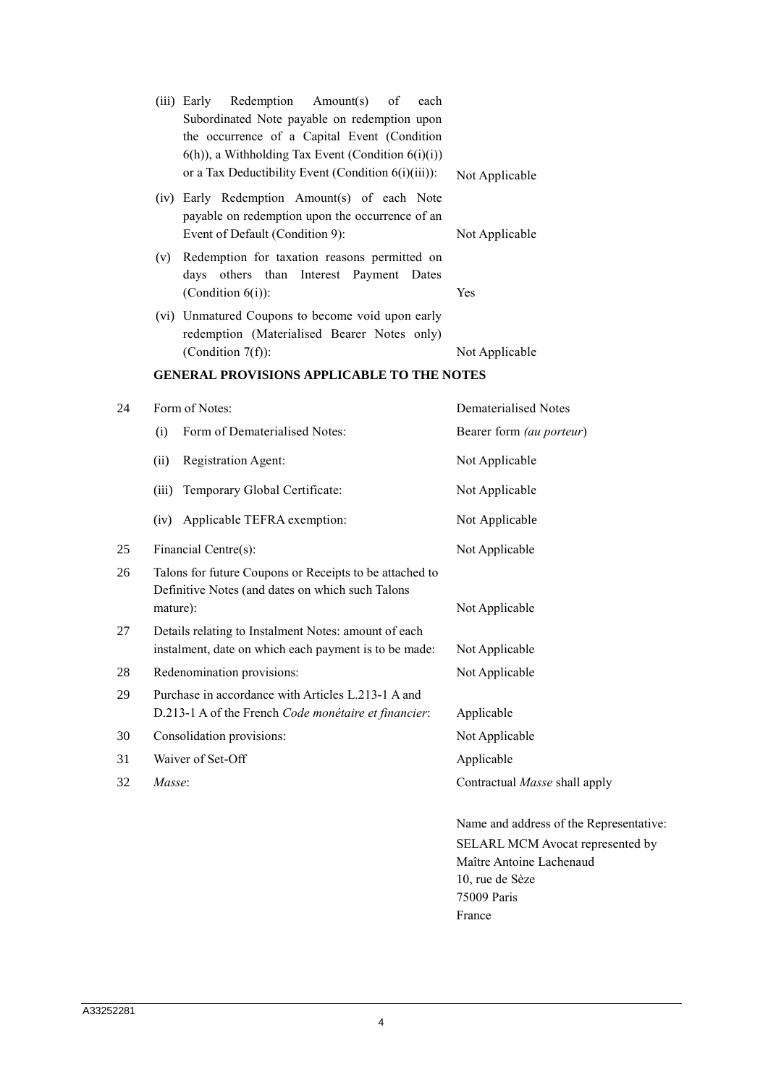|    |          | Redemption<br>Amount(s)<br>(iii) Early<br>of<br>each<br>Subordinated Note payable on redemption upon<br>the occurrence of a Capital Event (Condition<br>$(6(h))$ , a Withholding Tax Event (Condition $(6i)(i)$ ) |                          |
|----|----------|-------------------------------------------------------------------------------------------------------------------------------------------------------------------------------------------------------------------|--------------------------|
|    |          | or a Tax Deductibility Event (Condition 6(i)(iii)):                                                                                                                                                               | Not Applicable           |
|    |          | (iv) Early Redemption Amount(s) of each Note<br>payable on redemption upon the occurrence of an<br>Event of Default (Condition 9):                                                                                | Not Applicable           |
|    | (v)      | Redemption for taxation reasons permitted on<br>days others than Interest Payment Dates<br>(Condition $6(i)$ ):                                                                                                   | Yes                      |
|    |          | (vi) Unmatured Coupons to become void upon early<br>redemption (Materialised Bearer Notes only)                                                                                                                   |                          |
|    |          | (Condition $7(f)$ ):                                                                                                                                                                                              | Not Applicable           |
|    |          | <b>GENERAL PROVISIONS APPLICABLE TO THE NOTES</b>                                                                                                                                                                 |                          |
| 24 |          | Form of Notes:                                                                                                                                                                                                    | Dematerialised Notes     |
|    | (i)      | Form of Dematerialised Notes:                                                                                                                                                                                     | Bearer form (au porteur) |
|    | (ii)     | Registration Agent:                                                                                                                                                                                               | Not Applicable           |
|    | (iii)    | Temporary Global Certificate:                                                                                                                                                                                     | Not Applicable           |
|    | (iv)     | Applicable TEFRA exemption:                                                                                                                                                                                       | Not Applicable           |
| 25 |          | Financial Centre(s):                                                                                                                                                                                              | Not Applicable           |
| 26 |          | Talons for future Coupons or Receipts to be attached to<br>Definitive Notes (and dates on which such Talons                                                                                                       |                          |
|    | mature): |                                                                                                                                                                                                                   | Not Applicable           |

- 27 Details relating to Instalment Notes: amount of each instalment, date on which each payment is to be made: Not Applicable
- 28 Redenomination provisions: Not Applicable 29 Purchase in accordance with Articles L.213-1 A and D.213-1 A of the French *Code monétaire et financier*: Applicable
- 30 Consolidation provisions: Not Applicable
- 31 Waiver of Set-Off Applicable
- 32 *Masse*: Contractual *Masse* shall apply
	- Name and address of the Representative: SELARL MCM Avocat represented by Maître Antoine Lachenaud 10, rue de Sèze 75009 Paris France

4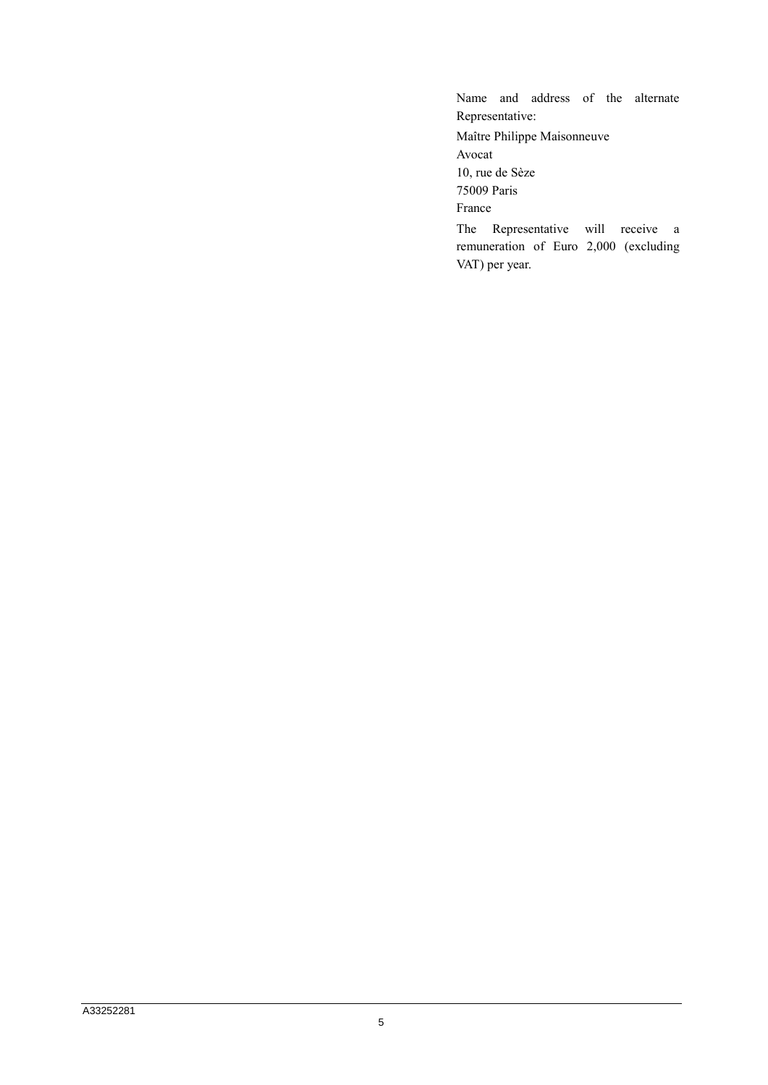Name and address of the alternate Representative: Maître Philippe Maisonneuve Avocat 10, rue de Sèze 75009 Paris France The Representative will receive a remuneration of Euro 2,000 (excluding VAT) per year.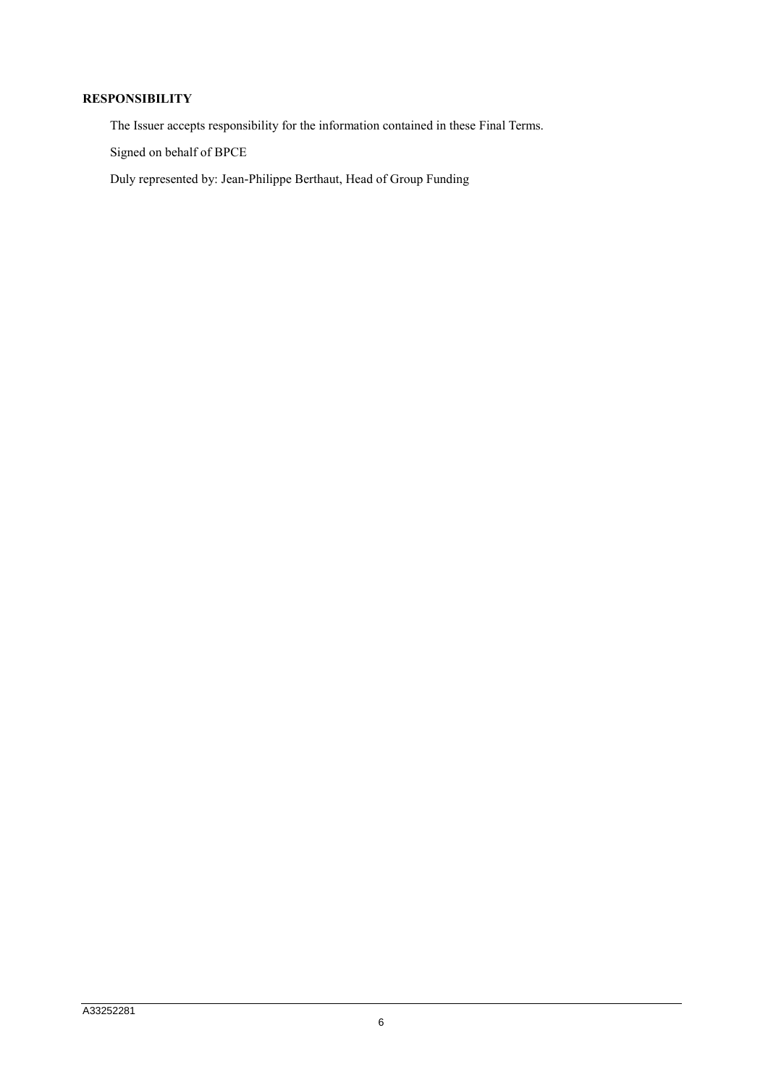### **RESPONSIBILITY**

The Issuer accepts responsibility for the information contained in these Final Terms.

Signed on behalf of BPCE

Duly represented by: Jean-Philippe Berthaut, Head of Group Funding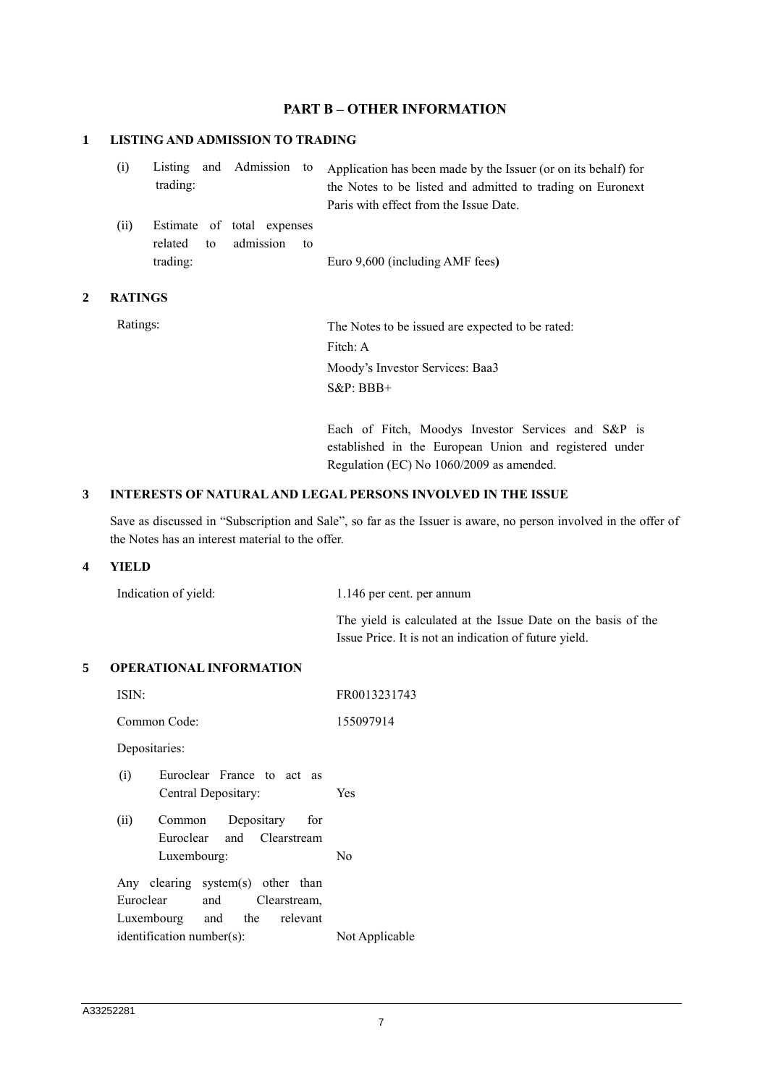### **PART B – OTHER INFORMATION**

### **1 LISTING AND ADMISSION TO TRADING**

| (i) |          |  | Listing and Admission to Application has been made by the Issuer (or on its behalf) for |
|-----|----------|--|-----------------------------------------------------------------------------------------|
|     | trading: |  | the Notes to be listed and admitted to trading on Euronext                              |
|     |          |  | Paris with effect from the Issue Date.                                                  |

(ii) Estimate of total expenses related to admission to trading: Euro 9,600 (including AMF fees**)**

### **2 RATINGS**

Ratings: The Notes to be issued are expected to be rated: Fitch: A Moody's Investor Services: Baa3 S&P: BBB+

> Each of Fitch, Moodys Investor Services and S&P is established in the European Union and registered under Regulation (EC) No 1060/2009 as amended.

### **3 INTERESTS OF NATURAL AND LEGAL PERSONS INVOLVED IN THE ISSUE**

Save as discussed in "Subscription and Sale", so far as the Issuer is aware, no person involved in the offer of the Notes has an interest material to the offer.

### **4 YIELD**

| Indication of yield: | 1.146 per cent. per annum                                     |  |
|----------------------|---------------------------------------------------------------|--|
|                      | The yield is calculated at the Issue Date on the basis of the |  |
|                      | Issue Price. It is not an indication of future yield.         |  |

#### **5 OPERATIONAL INFORMATION**

| ISIN:                             | FR0013231743   |  |  |  |  |
|-----------------------------------|----------------|--|--|--|--|
| Common Code:                      | 155097914      |  |  |  |  |
| Depositaries:                     |                |  |  |  |  |
| Euroclear France to act as<br>(i) |                |  |  |  |  |
| Central Depositary:               | Yes            |  |  |  |  |
| (ii)<br>Depositary for<br>Common  |                |  |  |  |  |
| Euroclear and Clearstream         |                |  |  |  |  |
| Luxembourg:                       | N <sub>0</sub> |  |  |  |  |
| Any clearing system(s) other than |                |  |  |  |  |
| Euroclear<br>and Clearstream,     |                |  |  |  |  |
| Luxembourg and the relevant       |                |  |  |  |  |
| $identification number(s)$ :      | Not Applicable |  |  |  |  |